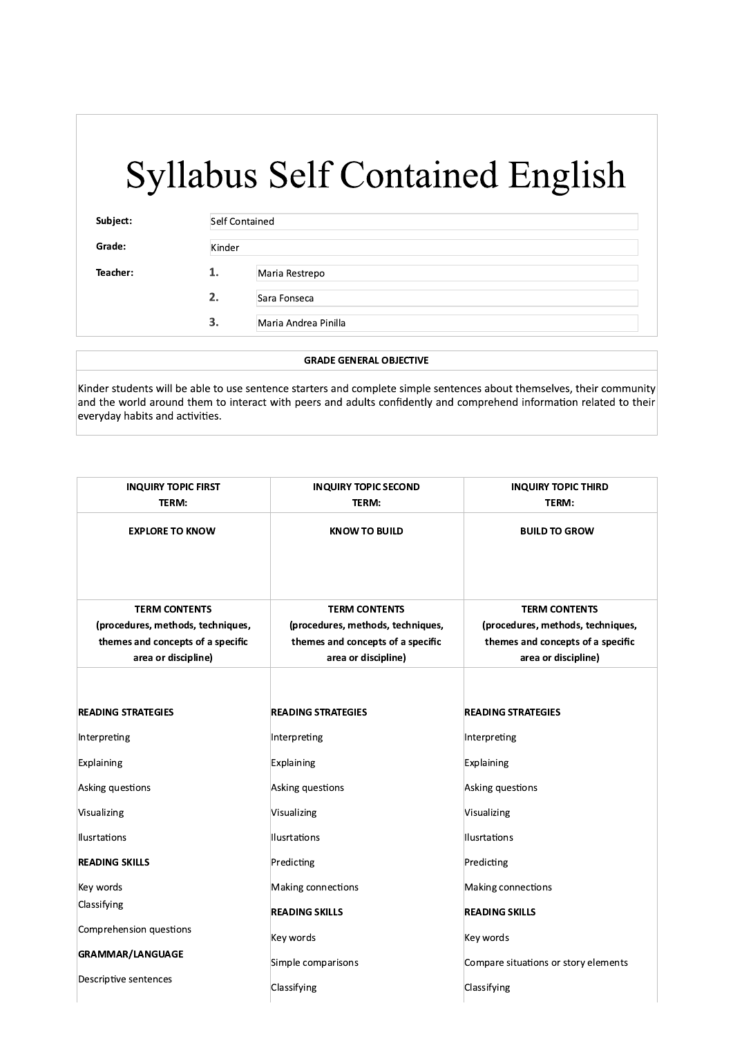| Subject: |        | Self Contained       |  |
|----------|--------|----------------------|--|
| Grade:   | Kinder |                      |  |
| Teacher: | 1.     | Maria Restrepo       |  |
|          | 2.     | Sara Fonseca         |  |
|          | 3.     | Maria Andrea Pinilla |  |

#### **GRADE GENERAL OBJECTIVE**

Kinder students will be able to use sentence starters and complete simple sentences about themselves, their community and the world around them to interact with peers and adults confidently and comprehend information related to their everyday habits and activities.

| <b>INQUIRY TOPIC FIRST</b><br>TERM: | <b>INQUIRY TOPIC SECOND</b><br>TERM: | <b>INQUIRY TOPIC THIRD</b><br>TERM:  |
|-------------------------------------|--------------------------------------|--------------------------------------|
| <b>EXPLORE TO KNOW</b>              | <b>KNOW TO BUILD</b>                 | <b>BUILD TO GROW</b>                 |
|                                     |                                      |                                      |
| <b>TERM CONTENTS</b>                | <b>TERM CONTENTS</b>                 | <b>TERM CONTENTS</b>                 |
| (procedures, methods, techniques,   | (procedures, methods, techniques,    | (procedures, methods, techniques,    |
| themes and concepts of a specific   | themes and concepts of a specific    | themes and concepts of a specific    |
| area or discipline)                 | area or discipline)                  | area or discipline)                  |
|                                     |                                      |                                      |
| <b>READING STRATEGIES</b>           | <b>READING STRATEGIES</b>            | <b>READING STRATEGIES</b>            |
| Interpreting                        | Interpreting                         | Interpreting                         |
| Explaining                          | Explaining                           | Explaining                           |
| Asking questions                    | Asking questions                     | Asking questions                     |
| Visualizing                         | Visualizing                          | Visualizing                          |
| Ilusrtations                        | Ilusrtations                         | Ilusrtations                         |
| <b>READING SKILLS</b>               | Predicting                           | Predicting                           |
| Key words                           | Making connections                   | Making connections                   |
| Classifying                         | <b>READING SKILLS</b>                | <b>READING SKILLS</b>                |
| Comprehension questions             | Key words                            | Key words                            |
| <b>GRAMMAR/LANGUAGE</b>             | Simple comparisons                   | Compare situations or story elements |
| Descriptive sentences               | Classifying                          | Classifying                          |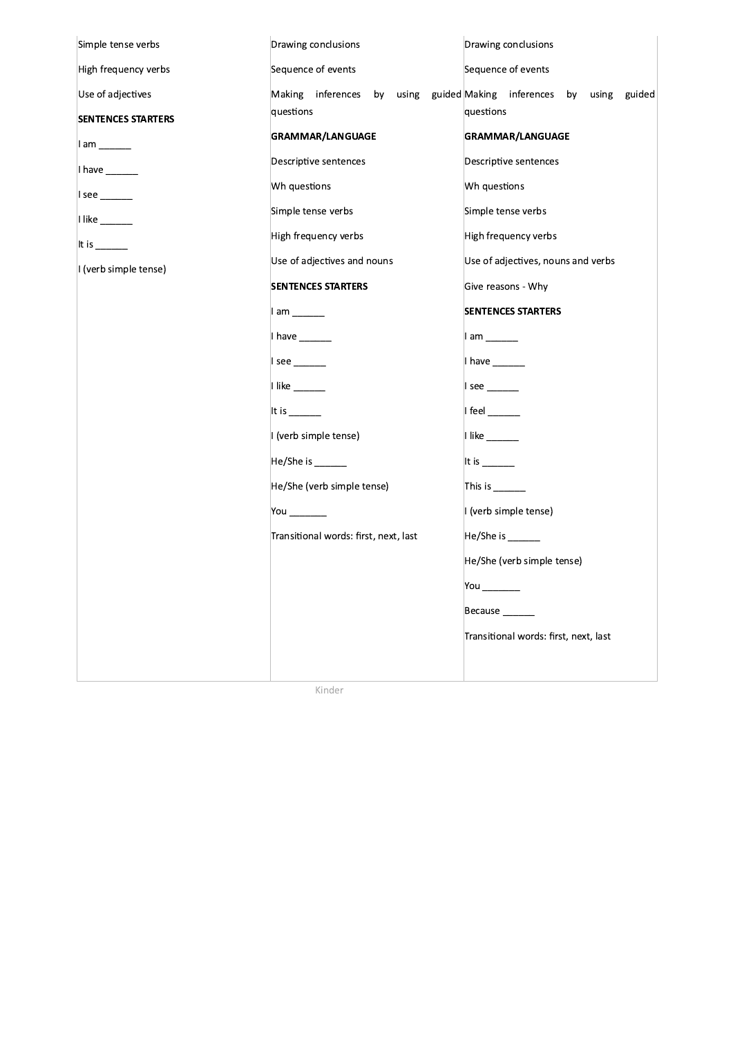| Simple tense verbs         | Drawing conclusions                   | Drawing conclusions                            |
|----------------------------|---------------------------------------|------------------------------------------------|
| High frequency verbs       | Sequence of events                    | Sequence of events                             |
| Use of adjectives          | inferences<br>using<br>Making<br>by   | guided Making inferences by<br>using<br>guided |
| <b>SENTENCES STARTERS</b>  | questions                             | questions                                      |
| $1$ am $\_\_\_\_\_\_\_\_\$ | GRAMMAR/LANGUAGE                      | GRAMMAR/LANGUAGE                               |
| I have $\_\_$              | Descriptive sentences                 | Descriptive sentences                          |
| $ $ see _______            | Wh questions                          | Wh questions                                   |
| $l$ like ________          | Simple tense verbs                    | Simple tense verbs                             |
| It is $\frac{1}{1}$        | High frequency verbs                  | High frequency verbs                           |
| I (verb simple tense)      | Use of adjectives and nouns           | Use of adjectives, nouns and verbs             |
|                            | <b>SENTENCES STARTERS</b>             | Give reasons - Why                             |
|                            | $\parallel$ am $\_\_\_\_\_\_\_\_\$    | <b>SENTENCES STARTERS</b>                      |
|                            | I have $\_\_$                         | $I$ am $\_\_\_\_\_\_\_\_\$                     |
|                            | $ $ see ______                        | I have $\_\_$                                  |
|                            |                                       |                                                |
|                            |                                       | $I$ feel                                       |
|                            | I (verb simple tense)                 | $I$ like $\_\_$                                |
|                            | He/She is ______                      | It is $\frac{1}{1}$                            |
|                            | He/She (verb simple tense)            | This is $\_\_$                                 |
|                            | You ________                          | I (verb simple tense)                          |
|                            | Transitional words: first, next, last | He/She is _______                              |
|                            |                                       | He/She (verb simple tense)                     |
|                            |                                       | You _______                                    |
|                            |                                       | Because _______                                |
|                            |                                       | Transitional words: first, next, last          |
|                            |                                       |                                                |
|                            |                                       |                                                |

Kinder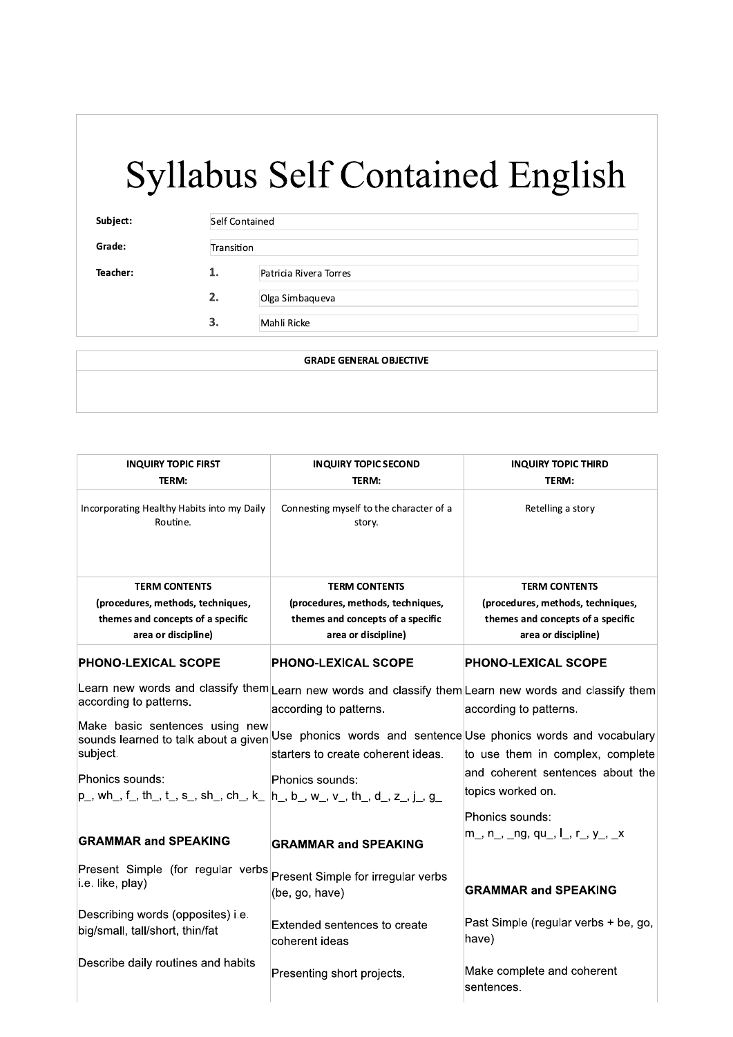# Syllabu  $\begin{minipage}{0.8\textwidth} \begin{tabular}{l} \multicolumn{1}{l}{} & \multicolumn{1}{l}{} & \multicolumn{1}{l}{} & \multicolumn{1}{l}{} & \multicolumn{1}{l}{} & \multicolumn{1}{l}{} & \multicolumn{1}{l}{} & \multicolumn{1}{l}{} & \multicolumn{1}{l}{} & \multicolumn{1}{l}{} & \multicolumn{1}{l}{} & \multicolumn{1}{l}{} & \multicolumn{1}{l}{} & \multicolumn{1}{l}{} & \multicolumn{1}{l}{} & \multicolumn{1}{l}{} & \multicolumn{1}{l}{} & \multicolumn{1}{l}{} &$

 $\overline{\phantom{a}}$ 

Grade: Transition

Syllabus Self Contained<br>
Subject:<br>
Grade: Transition<br>
Teacher: 1. Patricia Rivera Torres<br>
2. Olga Simbaqueva<br>
3. Mahli Ricke<br>
GRADE GENERAL Olga Simbaqueva Mahli Ricke

 $\mathbf{I}_{\mathbf{r}}$  $2.$ 

 $3.$ 

 $\overline{\phantom{0}}$ GRADE GENERAL OBJECTIVE

| <b>INQUIRY TOPIC FIRST</b><br>TERM:                                                        | <b>INQUIRY TOPIC SECOND</b><br>TERM:                                                                                            | <b>INQUIRY TOPIC THIRD</b><br>TERM:                      |
|--------------------------------------------------------------------------------------------|---------------------------------------------------------------------------------------------------------------------------------|----------------------------------------------------------|
| Incorporating Healthy Habits into my Daily<br>Routine.                                     | Connesting myself to the character of a<br>story.                                                                               | Retelling a story                                        |
| <b>TERM CONTENTS</b>                                                                       | <b>TERM CONTENTS</b>                                                                                                            | <b>TERM CONTENTS</b>                                     |
| (procedures, methods, techniques,                                                          | (procedures, methods, techniques,                                                                                               | (procedures, methods, techniques,                        |
| themes and concepts of a specific<br>area or discipline)                                   | themes and concepts of a specific<br>area or discipline)                                                                        | themes and concepts of a specific<br>area or discipline) |
| <b>PHONO-LEXICAL SCOPE</b>                                                                 | <b>PHONO-LEXICAL SCOPE</b>                                                                                                      | <b>PHONO-LEXICAL SCOPE</b>                               |
| according to patterns.                                                                     | Learn new words and classify them Learn new words and classify them Learn new words and classify them<br>according to patterns. | according to patterns.                                   |
| Make basic sentences using new<br>sounds learned to talk about a given<br>subject.         | Use phonics words and sentence Use phonics words and vocabulary<br>starters to create coherent ideas.                           | to use them in complex, complete                         |
| Phonics sounds:                                                                            | Phonics sounds:                                                                                                                 | and coherent sentences about the<br>topics worked on.    |
| $\vert$ p_, wh_, f_, th_, t_, s_, sh_, ch_, k_ $\vert$ h_, b_, w_, v_, th_, d_, z_, j_, g_ |                                                                                                                                 |                                                          |
|                                                                                            |                                                                                                                                 | Phonics sounds:                                          |
| <b>GRAMMAR and SPEAKING</b>                                                                | <b>GRAMMAR and SPEAKING</b>                                                                                                     | m_, n_, _ng, qu_, l_, r_, y_, _x                         |
| Present Simple (for regular verbs<br>i.e. like, play)                                      | Present Simple for irregular verbs<br>(be, go, have)                                                                            | <b>GRAMMAR and SPEAKING</b>                              |
| Describing words (opposites) i.e.<br>big/small, tall/short, thin/fat                       | Extended sentences to create<br>coherent ideas                                                                                  | Past Simple (regular verbs + be, go,<br>have)            |
| Describe daily routines and habits                                                         | Presenting short projects.                                                                                                      | Make complete and coherent                               |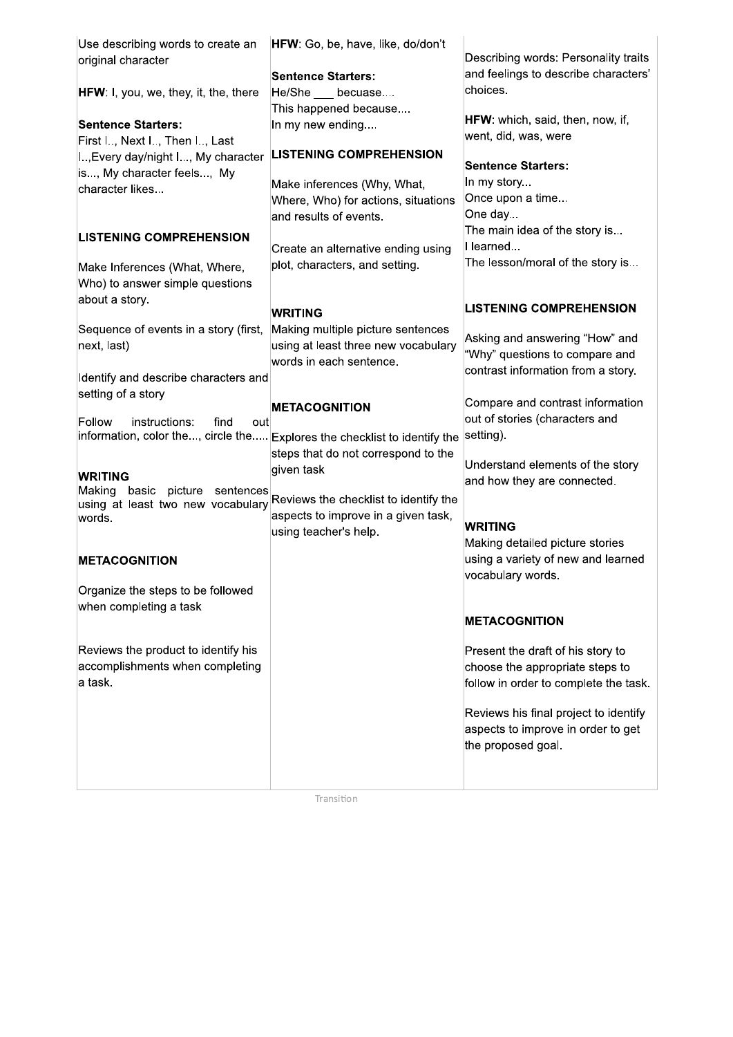| Use describing words to create an<br>original character                           | HFW: Go, be, have, like, do/don't                                                                   | Describing words: Personality traits<br>and feelings to describe characters'                           |
|-----------------------------------------------------------------------------------|-----------------------------------------------------------------------------------------------------|--------------------------------------------------------------------------------------------------------|
| <b>HFW:</b> I, you, we, they, it, the, there                                      | <b>Sentence Starters:</b><br>He/She becuase                                                         | choices.                                                                                               |
| <b>Sentence Starters:</b><br>First I, Next I, Then I, Last                        | This happened because<br>In my new ending                                                           | HFW: which, said, then, now, if,<br>went, did, was, were                                               |
| I, Every day/night I, My character                                                | <b>LISTENING COMPREHENSION</b>                                                                      | <b>Sentence Starters:</b>                                                                              |
| is, My character feels, My<br>character likes                                     | Make inferences (Why, What,<br>Where, Who) for actions, situations<br>and results of events.        | In my story<br>Once upon a time<br>One day                                                             |
| <b>LISTENING COMPREHENSION</b>                                                    | Create an alternative ending using                                                                  | The main idea of the story is<br>I learned                                                             |
| Make Inferences (What, Where,<br>Who) to answer simple questions                  | plot, characters, and setting.                                                                      | The lesson/moral of the story is                                                                       |
| about a story.                                                                    | <b>WRITING</b>                                                                                      | <b>LISTENING COMPREHENSION</b>                                                                         |
| Sequence of events in a story (first,<br>next, last)                              | Making multiple picture sentences<br>using at least three new vocabulary<br>words in each sentence. | Asking and answering "How" and<br>"Why" questions to compare and<br>contrast information from a story. |
| Identify and describe characters and<br>setting of a story                        |                                                                                                     | Compare and contrast information                                                                       |
| Follow<br>instructions:<br>find<br>out                                            | <b>METACOGNITION</b><br>information, color the, circle the Explores the checklist to identify the   | out of stories (characters and<br>setting).                                                            |
| <b>WRITING</b>                                                                    | steps that do not correspond to the<br>given task                                                   | Understand elements of the story                                                                       |
| Making<br>basic<br>picture<br>sentences<br>using at least two new vocabulary      | Reviews the checklist to identify the                                                               | and how they are connected.                                                                            |
| words.                                                                            | aspects to improve in a given task,<br>using teacher's help.                                        | <b>WRITING</b><br>Making detailed picture stories                                                      |
| <b>METACOGNITION</b>                                                              |                                                                                                     | using a variety of new and learned<br>vocabulary words.                                                |
| Organize the steps to be followed<br>when completing a task                       |                                                                                                     |                                                                                                        |
|                                                                                   |                                                                                                     | <b>METACOGNITION</b>                                                                                   |
| Reviews the product to identify his<br>accomplishments when completing<br>a task. |                                                                                                     | Present the draft of his story to<br>choose the appropriate steps to                                   |
|                                                                                   |                                                                                                     | follow in order to complete the task.                                                                  |
|                                                                                   |                                                                                                     | Reviews his final project to identify<br>aspects to improve in order to get<br>the proposed goal.      |
|                                                                                   |                                                                                                     |                                                                                                        |
|                                                                                   | Transition                                                                                          |                                                                                                        |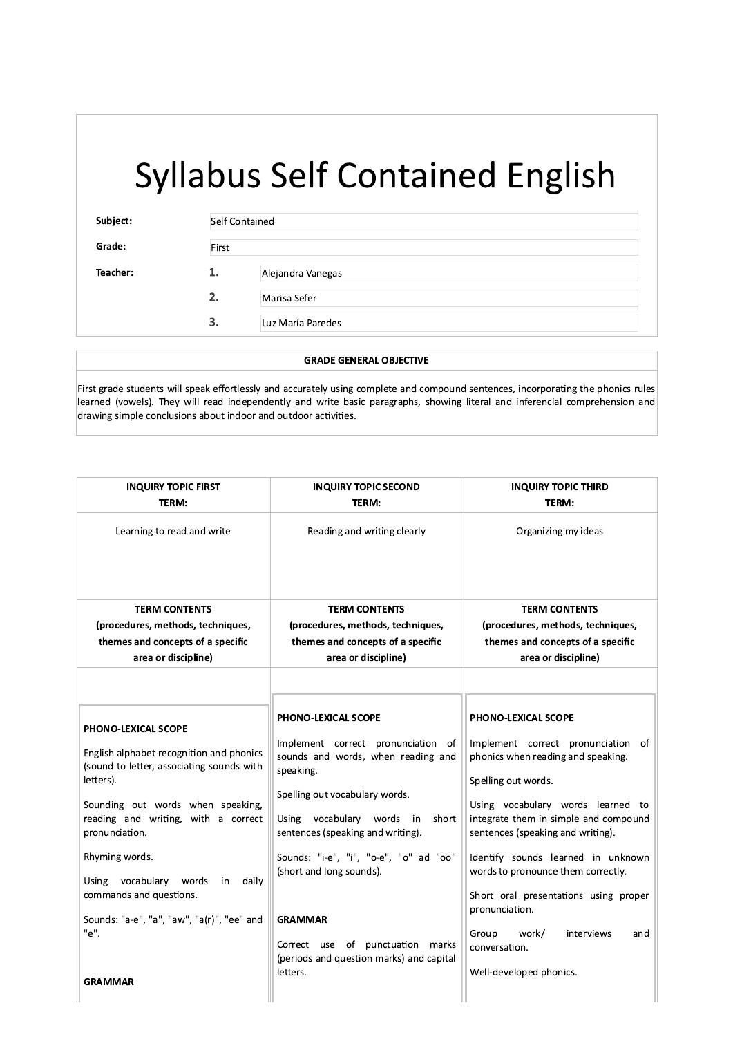| Subject: | <b>Self Contained</b><br>First |                   |
|----------|--------------------------------|-------------------|
| Grade:   |                                |                   |
| Teacher: | 1.                             | Alejandra Vanegas |
|          | 2.                             | Marisa Sefer      |
|          | 3.                             | Luz María Paredes |

#### **GRADE GENERAL OBJECTIVE**

First grade students will speak effortlessly and accurately using complete and compound sentences, incorporating the phonics rules learned (vowels). They will read independently and write basic paragraphs, showing literal and inferencial comprehension and drawing simple conclusions about indoor and outdoor activities.

| <b>INQUIRY TOPIC FIRST</b><br>TERM:                                                                                                                                                                                                                                                                                                                                    | <b>INQUIRY TOPIC SECOND</b><br>TERM:                                                                                                                                                                                                                                                                                                                                                                                 | <b>INQUIRY TOPIC THIRD</b><br>TERM:                                                                                                                                                                                                                                                                                                                                                                                                                                    |
|------------------------------------------------------------------------------------------------------------------------------------------------------------------------------------------------------------------------------------------------------------------------------------------------------------------------------------------------------------------------|----------------------------------------------------------------------------------------------------------------------------------------------------------------------------------------------------------------------------------------------------------------------------------------------------------------------------------------------------------------------------------------------------------------------|------------------------------------------------------------------------------------------------------------------------------------------------------------------------------------------------------------------------------------------------------------------------------------------------------------------------------------------------------------------------------------------------------------------------------------------------------------------------|
| Learning to read and write                                                                                                                                                                                                                                                                                                                                             | Reading and writing clearly                                                                                                                                                                                                                                                                                                                                                                                          | Organizing my ideas                                                                                                                                                                                                                                                                                                                                                                                                                                                    |
| <b>TERM CONTENTS</b>                                                                                                                                                                                                                                                                                                                                                   | <b>TERM CONTENTS</b>                                                                                                                                                                                                                                                                                                                                                                                                 | <b>TERM CONTENTS</b>                                                                                                                                                                                                                                                                                                                                                                                                                                                   |
| (procedures, methods, techniques,                                                                                                                                                                                                                                                                                                                                      | (procedures, methods, techniques,                                                                                                                                                                                                                                                                                                                                                                                    | (procedures, methods, techniques,                                                                                                                                                                                                                                                                                                                                                                                                                                      |
| themes and concepts of a specific                                                                                                                                                                                                                                                                                                                                      | themes and concepts of a specific                                                                                                                                                                                                                                                                                                                                                                                    | themes and concepts of a specific                                                                                                                                                                                                                                                                                                                                                                                                                                      |
| area or discipline)                                                                                                                                                                                                                                                                                                                                                    | area or discipline)                                                                                                                                                                                                                                                                                                                                                                                                  | area or discipline)                                                                                                                                                                                                                                                                                                                                                                                                                                                    |
| PHONO-LEXICAL SCOPE<br>English alphabet recognition and phonics<br>(sound to letter, associating sounds with<br>letters).<br>Sounding out words when speaking,<br>reading and writing, with a correct<br>pronunciation.<br>Rhyming words.<br>Using vocabulary<br>daily<br>words<br>in<br>commands and questions.<br>Sounds: "a-e", "a", "aw", "a(r)", "ee" and<br>"e". | <b>PHONO-LEXICAL SCOPE</b><br>Implement correct pronunciation of<br>sounds and words, when reading and<br>speaking.<br>Spelling out vocabulary words.<br>Using vocabulary words in<br>short<br>sentences (speaking and writing).<br>Sounds: "i-e", "i", "o-e", "o" ad "oo"<br>(short and long sounds).<br><b>GRAMMAR</b><br>Correct use of punctuation marks<br>(periods and question marks) and capital<br>letters. | PHONO-LEXICAL SCOPE<br>Implement correct pronunciation<br>of<br>phonics when reading and speaking.<br>Spelling out words.<br>Using vocabulary words learned to<br>integrate them in simple and compound<br>sentences (speaking and writing).<br>Identify sounds learned in unknown<br>words to pronounce them correctly.<br>Short oral presentations using proper<br>pronunciation.<br>Group<br>work/<br>interviews<br>and<br>conversation.<br>Well-developed phonics. |
| <b>GRAMMAR</b>                                                                                                                                                                                                                                                                                                                                                         |                                                                                                                                                                                                                                                                                                                                                                                                                      |                                                                                                                                                                                                                                                                                                                                                                                                                                                                        |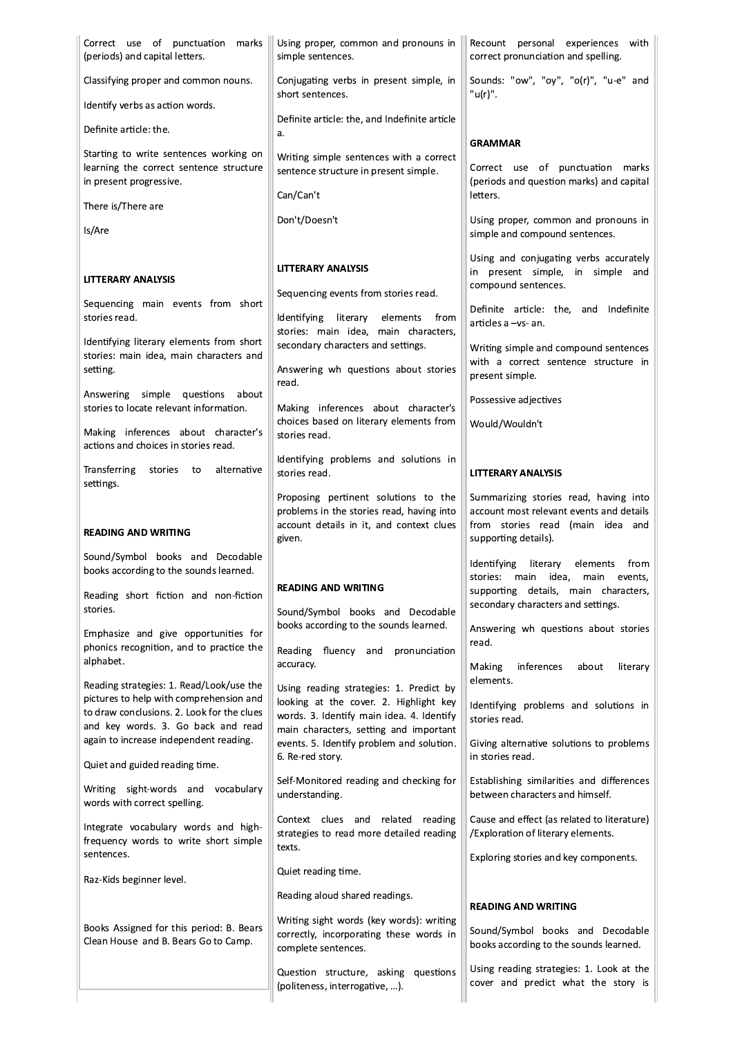| Correct use of punctuation marks<br>(periods) and capital letters.                                                                | Using proper, common and pronouns in<br>simple sentences.                                                                      | Recount personal experiences with<br>correct pronunciation and spelling.                                             |
|-----------------------------------------------------------------------------------------------------------------------------------|--------------------------------------------------------------------------------------------------------------------------------|----------------------------------------------------------------------------------------------------------------------|
| Classifying proper and common nouns.                                                                                              | Conjugating verbs in present simple, in<br>short sentences.                                                                    | Sounds: "ow", "oy", "o(r)", "u-e" and<br>"u(r)".                                                                     |
| Identify verbs as action words.                                                                                                   | Definite article: the, and Indefinite article                                                                                  |                                                                                                                      |
| Definite article: the.                                                                                                            | a.                                                                                                                             | <b>GRAMMAR</b>                                                                                                       |
| Starting to write sentences working on<br>learning the correct sentence structure<br>in present progressive.                      | Writing simple sentences with a correct<br>sentence structure in present simple.<br>Can/Can't                                  | Correct use of punctuation marks<br>(periods and question marks) and capital<br>letters.                             |
| There is/There are                                                                                                                |                                                                                                                                |                                                                                                                      |
| Is/Are                                                                                                                            | Don't/Doesn't                                                                                                                  | Using proper, common and pronouns in<br>simple and compound sentences.                                               |
| <b>LITTERARY ANALYSIS</b>                                                                                                         | LITTERARY ANALYSIS<br>Sequencing events from stories read.                                                                     | Using and conjugating verbs accurately<br>in present simple, in simple and<br>compound sentences.                    |
| Sequencing main events from short<br>stories read.                                                                                | Identifying literary elements<br>from<br>stories: main idea, main characters,                                                  | Definite article: the, and Indefinite<br>articles a -vs- an.                                                         |
| Identifying literary elements from short<br>stories: main idea, main characters and<br>setting.                                   | secondary characters and settings.<br>Answering wh questions about stories<br>read.                                            | Writing simple and compound sentences<br>with a correct sentence structure in<br>present simple.                     |
| Answering simple questions about<br>stories to locate relevant information.                                                       | Making inferences about character's                                                                                            | Possessive adjectives                                                                                                |
| Making inferences about character's<br>actions and choices in stories read.                                                       | choices based on literary elements from<br>stories read.                                                                       | Would/Wouldn't                                                                                                       |
| Transferring<br>alternative<br>stories<br>to<br>settings.                                                                         | Identifying problems and solutions in<br>stories read.                                                                         | LITTERARY ANALYSIS                                                                                                   |
|                                                                                                                                   | Proposing pertinent solutions to the<br>problems in the stories read, having into                                              | Summarizing stories read, having into<br>account most relevant events and details                                    |
|                                                                                                                                   |                                                                                                                                |                                                                                                                      |
| <b>READING AND WRITING</b>                                                                                                        | account details in it, and context clues<br>given.                                                                             | from stories read (main idea and<br>supporting details).                                                             |
| Sound/Symbol books and Decodable                                                                                                  |                                                                                                                                | Identifying<br>literary<br>from<br>elements                                                                          |
| books according to the sounds learned.<br>Reading short fiction and non-fiction<br>stories.                                       | <b>READING AND WRITING</b>                                                                                                     | stories: main idea,<br>main<br>events,<br>supporting details, main characters,<br>secondary characters and settings. |
| Emphasize and give opportunities for<br>phonics recognition, and to practice the                                                  | Sound/Symbol books and Decodable<br>books according to the sounds learned.                                                     | Answering wh questions about stories<br>read.                                                                        |
| alphabet.                                                                                                                         | Reading fluency and<br>pronunciation<br>accuracy.                                                                              | Making<br>inferences<br>about<br>literary<br>elements.                                                               |
| Reading strategies: 1. Read/Look/use the<br>pictures to help with comprehension and<br>to draw conclusions. 2. Look for the clues | Using reading strategies: 1. Predict by<br>looking at the cover. 2. Highlight key<br>words. 3. Identify main idea. 4. Identify | Identifying problems and solutions in<br>stories read.                                                               |
| and key words. 3. Go back and read<br>again to increase independent reading.                                                      | main characters, setting and important<br>events. 5. Identify problem and solution.<br>6. Re-red story.                        | Giving alternative solutions to problems<br>in stories read.                                                         |
| Quiet and guided reading time.<br>Writing sight-words and vocabulary                                                              | Self-Monitored reading and checking for<br>understanding.                                                                      | Establishing similarities and differences<br>between characters and himself.                                         |
| words with correct spelling.<br>Integrate vocabulary words and high-<br>frequency words to write short simple                     | Context clues and related reading<br>strategies to read more detailed reading                                                  | Cause and effect (as related to literature)<br>/Exploration of literary elements.                                    |
| sentences.                                                                                                                        | texts.<br>Quiet reading time.                                                                                                  | Exploring stories and key components.                                                                                |
| Raz-Kids beginner level.                                                                                                          | Reading aloud shared readings.                                                                                                 |                                                                                                                      |
| Books Assigned for this period: B. Bears<br>Clean House and B. Bears Go to Camp.                                                  | Writing sight words (key words): writing<br>correctly, incorporating these words in<br>complete sentences.                     | <b>READING AND WRITING</b><br>Sound/Symbol books and Decodable<br>books according to the sounds learned.             |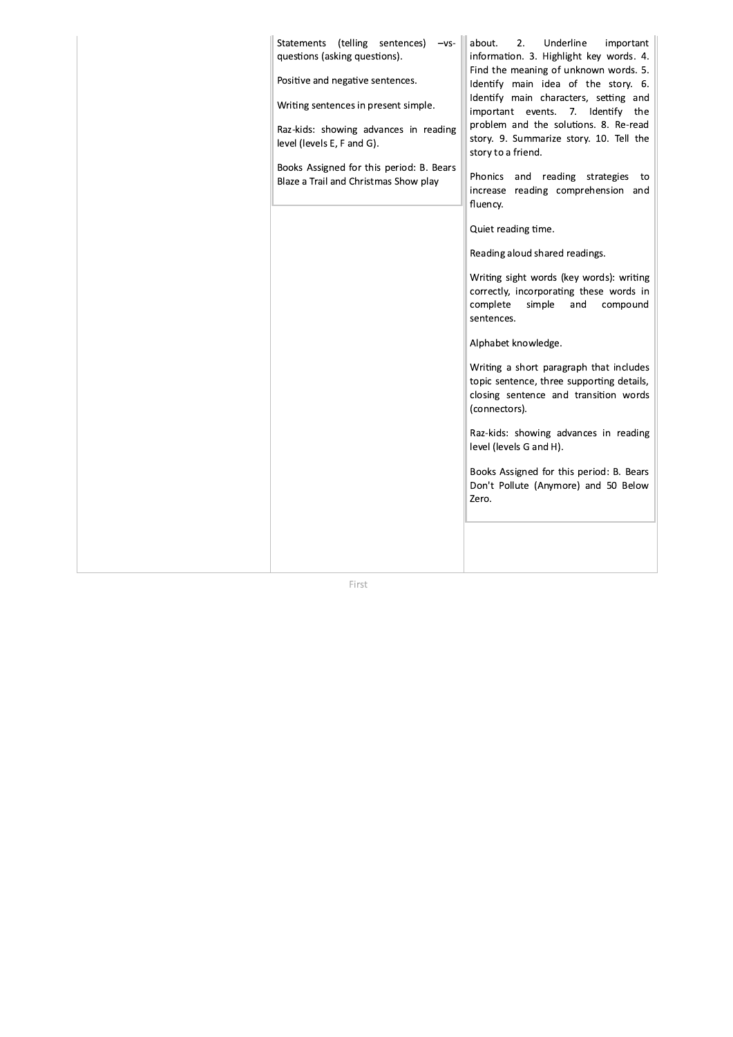| Statements (telling sentences)<br>$-vs-$<br>questions (asking questions).<br>Positive and negative sentences.<br>Writing sentences in present simple.<br>Raz-kids: showing advances in reading<br>level (levels E, F and G).<br>Books Assigned for this period: B. Bears<br>Blaze a Trail and Christmas Show play | about.<br>2.<br>Underline<br>important<br>information. 3. Highlight key words. 4.<br>Find the meaning of unknown words. 5.<br>Identify main idea of the story. 6.<br>Identify main characters, setting and<br>important events. 7. Identify<br>the<br>problem and the solutions. 8. Re-read<br>story. 9. Summarize story. 10. Tell the<br>story to a friend.<br>Phonics<br>and reading strategies<br>to<br>increase reading comprehension and<br>fluency.<br>Quiet reading time.<br>Reading aloud shared readings.<br>Writing sight words (key words): writing<br>correctly, incorporating these words in<br>complete<br>simple<br>and<br>compound<br>sentences.<br>Alphabet knowledge.<br>Writing a short paragraph that includes<br>topic sentence, three supporting details,<br>closing sentence and transition words<br>(connectors).<br>Raz-kids: showing advances in reading<br>level (levels G and H).<br>Books Assigned for this period: B. Bears<br>Don't Pollute (Anymore) and 50 Below<br>Zero. |  |
|-------------------------------------------------------------------------------------------------------------------------------------------------------------------------------------------------------------------------------------------------------------------------------------------------------------------|------------------------------------------------------------------------------------------------------------------------------------------------------------------------------------------------------------------------------------------------------------------------------------------------------------------------------------------------------------------------------------------------------------------------------------------------------------------------------------------------------------------------------------------------------------------------------------------------------------------------------------------------------------------------------------------------------------------------------------------------------------------------------------------------------------------------------------------------------------------------------------------------------------------------------------------------------------------------------------------------------------|--|
|                                                                                                                                                                                                                                                                                                                   |                                                                                                                                                                                                                                                                                                                                                                                                                                                                                                                                                                                                                                                                                                                                                                                                                                                                                                                                                                                                            |  |

First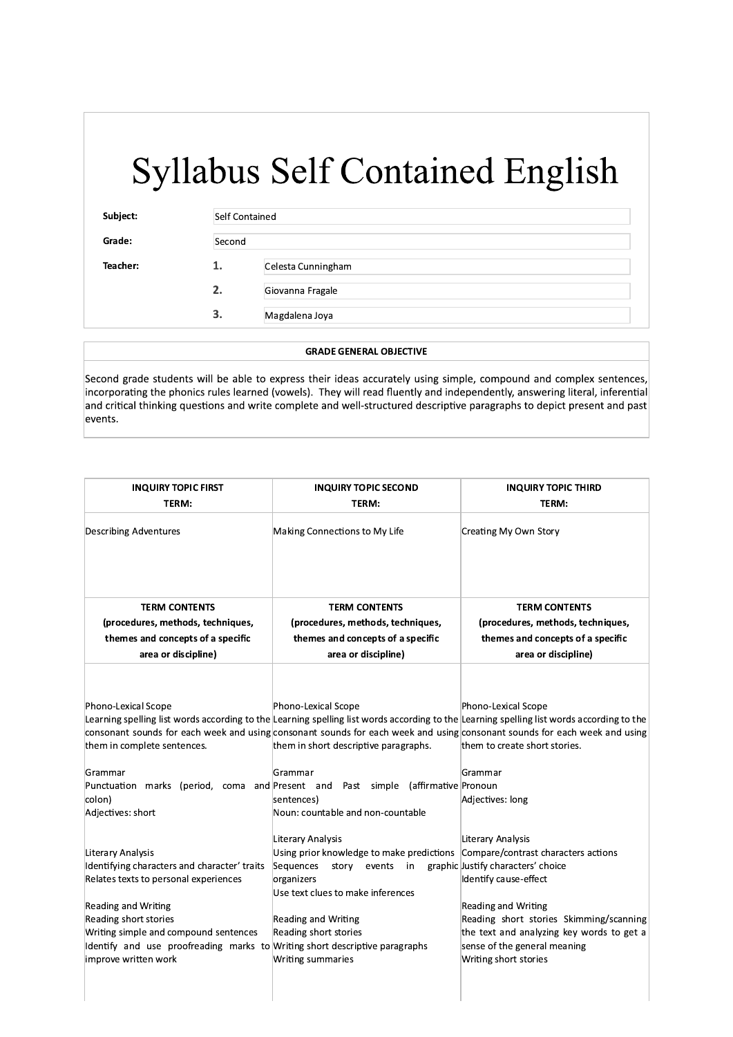| Subject: | Self Contained |                    |
|----------|----------------|--------------------|
| Grade:   | Second         |                    |
| Teacher: | 1.             | Celesta Cunningham |
|          | 2.             | Giovanna Fragale   |
|          | 3.             | Magdalena Joya     |

#### **GRADE GENERAL OBJECTIVE**

Second grade students will be able to express their ideas accurately using simple, compound and complex sentences, incorporating the phonics rules learned (vowels). They will read fluently and independently, answering literal, inferential and critical thinking questions and write complete and well-structured descriptive paragraphs to depict present and past events.

| <b>INQUIRY TOPIC FIRST</b><br>TERM:                                                                                                                                                                                                                                                                        | <b>INQUIRY TOPIC SECOND</b><br>TERM:                                                                                                                                                                                                                                                                                                                                                                                                      | <b>INQUIRY TOPIC THIRD</b><br>TERM:                                                                                                                                                                                                                             |
|------------------------------------------------------------------------------------------------------------------------------------------------------------------------------------------------------------------------------------------------------------------------------------------------------------|-------------------------------------------------------------------------------------------------------------------------------------------------------------------------------------------------------------------------------------------------------------------------------------------------------------------------------------------------------------------------------------------------------------------------------------------|-----------------------------------------------------------------------------------------------------------------------------------------------------------------------------------------------------------------------------------------------------------------|
| <b>Describing Adventures</b>                                                                                                                                                                                                                                                                               | Making Connections to My Life                                                                                                                                                                                                                                                                                                                                                                                                             | Creating My Own Story                                                                                                                                                                                                                                           |
| <b>TERM CONTENTS</b>                                                                                                                                                                                                                                                                                       | <b>TERM CONTENTS</b>                                                                                                                                                                                                                                                                                                                                                                                                                      | <b>TERM CONTENTS</b>                                                                                                                                                                                                                                            |
| (procedures, methods, techniques,                                                                                                                                                                                                                                                                          | (procedures, methods, techniques,                                                                                                                                                                                                                                                                                                                                                                                                         | (procedures, methods, techniques,                                                                                                                                                                                                                               |
| themes and concepts of a specific                                                                                                                                                                                                                                                                          | themes and concepts of a specific                                                                                                                                                                                                                                                                                                                                                                                                         | themes and concepts of a specific                                                                                                                                                                                                                               |
| area or discipline)                                                                                                                                                                                                                                                                                        | area or discipline)                                                                                                                                                                                                                                                                                                                                                                                                                       | area or discipline)                                                                                                                                                                                                                                             |
| Phono-Lexical Scope<br>them in complete sentences.<br>Grammar<br>Punctuation marks (period, coma and Present and<br>colon)<br>Adjectives: short                                                                                                                                                            | Phono-Lexical Scope<br>Learning spelling list words according to the Learning spelling list words according to the Learning spelling list words according to the<br>consonant sounds for each week and using consonant sounds for each week and using consonant sounds for each week and using<br>them in short descriptive paragraphs.<br>Grammar<br>Past simple (affirmative Pronoun<br>sentences)<br>Noun: countable and non-countable | Phono-Lexical Scope<br>them to create short stories.<br>Grammar<br>Adjectives: long                                                                                                                                                                             |
| Literary Analysis<br>Identifying characters and character' traits<br>Relates texts to personal experiences<br>Reading and Writing<br>Reading short stories<br>Writing simple and compound sentences<br>Identify and use proofreading marks to Writing short descriptive paragraphs<br>improve written work | Literary Analysis<br>Using prior knowledge to make predictions Compare/contrast characters actions<br>Sequences<br>story events<br>in<br>organizers<br>Use text clues to make inferences<br><b>Reading and Writing</b><br>Reading short stories<br>Writing summaries                                                                                                                                                                      | Literary Analysis<br>graphic Justify characters' choice<br>Identify cause-effect<br><b>Reading and Writing</b><br>Reading short stories Skimming/scanning<br>the text and analyzing key words to get a<br>sense of the general meaning<br>Writing short stories |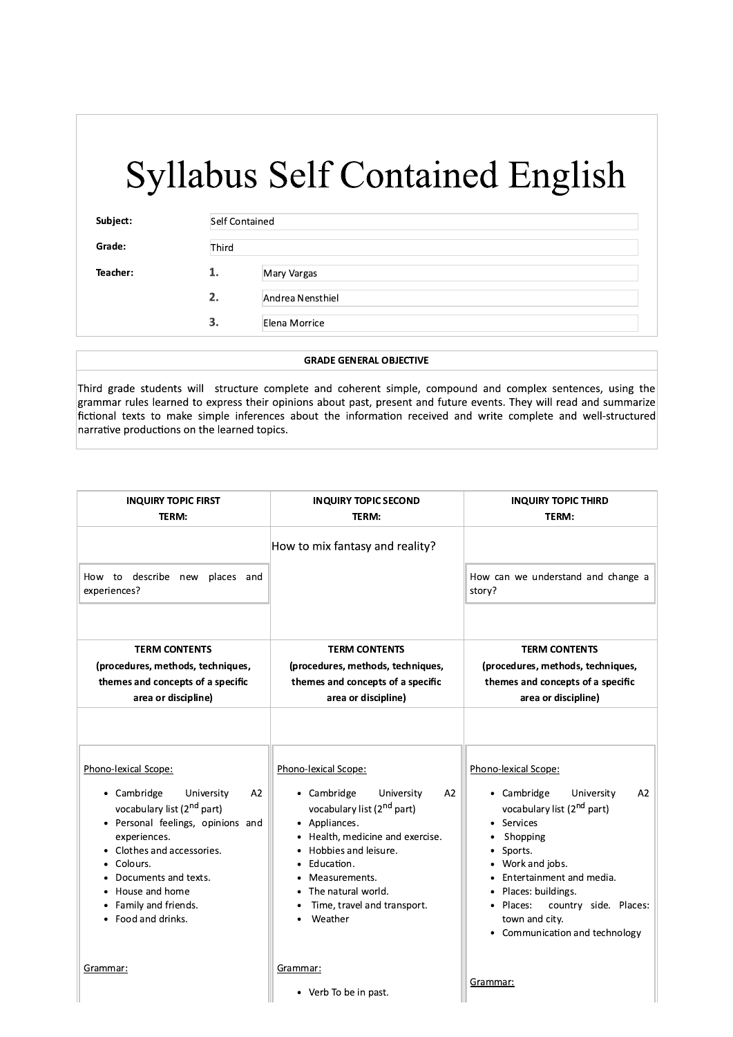| Subject: | Self Contained |                  |
|----------|----------------|------------------|
| Grade:   | Third          |                  |
| Teacher: | 1.             | Mary Vargas      |
|          | 2.             | Andrea Nensthiel |
|          | 3.             | Elena Morrice    |

#### **GRADE GENERAL OBJECTIVE**

Third grade students will structure complete and coherent simple, compound and complex sentences, using the grammar rules learned to express their opinions about past, present and future events. They will read and summarize fictional texts to make simple inferences about the information received and write complete and well-structured narrative productions on the learned topics.

| <b>INQUIRY TOPIC FIRST</b><br>TERM:                                                                                                                                                                                                                                               | <b>INQUIRY TOPIC SECOND</b><br>TERM:                                                                                                                                                                                                                                                                | <b>INQUIRY TOPIC THIRD</b><br>TERM:                                                                                                                                                                                                                                                              |
|-----------------------------------------------------------------------------------------------------------------------------------------------------------------------------------------------------------------------------------------------------------------------------------|-----------------------------------------------------------------------------------------------------------------------------------------------------------------------------------------------------------------------------------------------------------------------------------------------------|--------------------------------------------------------------------------------------------------------------------------------------------------------------------------------------------------------------------------------------------------------------------------------------------------|
|                                                                                                                                                                                                                                                                                   | How to mix fantasy and reality?                                                                                                                                                                                                                                                                     |                                                                                                                                                                                                                                                                                                  |
| How to describe new<br>places and<br>experiences?                                                                                                                                                                                                                                 |                                                                                                                                                                                                                                                                                                     | How can we understand and change a<br>story?                                                                                                                                                                                                                                                     |
| <b>TERM CONTENTS</b><br>(procedures, methods, techniques,<br>themes and concepts of a specific                                                                                                                                                                                    | <b>TERM CONTENTS</b><br>(procedures, methods, techniques,<br>themes and concepts of a specific                                                                                                                                                                                                      | <b>TERM CONTENTS</b><br>(procedures, methods, techniques,<br>themes and concepts of a specific                                                                                                                                                                                                   |
| area or discipline)                                                                                                                                                                                                                                                               | area or discipline)                                                                                                                                                                                                                                                                                 | area or discipline)                                                                                                                                                                                                                                                                              |
| Phono-lexical Scope:<br>• Cambridge<br>University<br>A2<br>vocabulary list (2 <sup>nd</sup> part)<br>Personal feelings, opinions and<br>experiences.<br>Clothes and accessories.<br>Colours.<br>Documents and texts.<br>House and home<br>Family and friends.<br>Food and drinks. | Phono-lexical Scope:<br>• Cambridge<br>University<br>A2<br>vocabulary list (2 <sup>nd</sup> part)<br>Appliances.<br>$\bullet$<br>Health, medicine and exercise.<br>Hobbies and leisure.<br>Education.<br>$\bullet$<br>Measurements.<br>The natural world.<br>Time, travel and transport.<br>Weather | Phono-lexical Scope:<br>• Cambridge<br>University<br>A2<br>vocabulary list (2 <sup>nd</sup> part)<br>Services<br>Shopping<br>Sports.<br>Work and jobs.<br>Entertainment and media.<br>Places: buildings.<br>Places:<br>country side. Places:<br>town and city.<br>• Communication and technology |
| Grammar:                                                                                                                                                                                                                                                                          | Grammar:<br>• Verb To be in past.                                                                                                                                                                                                                                                                   | Grammar:                                                                                                                                                                                                                                                                                         |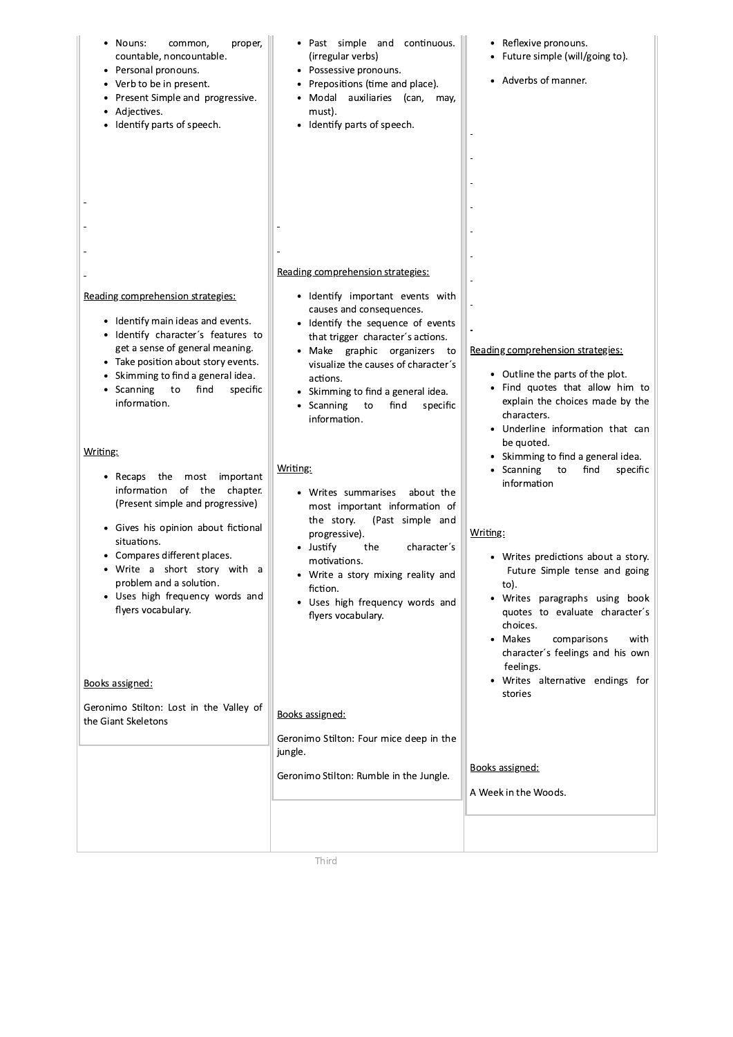| Nouns:<br>common,<br>proper,<br>countable, noncountable.<br>• Personal pronouns.<br>• Verb to be in present.<br>• Present Simple and progressive.<br>Adjectives.<br>Identify parts of speech.                                                                                      | • Past simple and continuous.<br>(irregular verbs)<br>• Possessive pronouns.<br>Prepositions (time and place).<br>Modal auxiliaries (can,<br>may,<br>must).<br>Identify parts of speech.<br>Reading comprehension strategies:                                                                                         | • Reflexive pronouns.<br>• Future simple (will/going to).<br>• Adverbs of manner.                                                                                                                                                                                                               |
|------------------------------------------------------------------------------------------------------------------------------------------------------------------------------------------------------------------------------------------------------------------------------------|-----------------------------------------------------------------------------------------------------------------------------------------------------------------------------------------------------------------------------------------------------------------------------------------------------------------------|-------------------------------------------------------------------------------------------------------------------------------------------------------------------------------------------------------------------------------------------------------------------------------------------------|
|                                                                                                                                                                                                                                                                                    |                                                                                                                                                                                                                                                                                                                       |                                                                                                                                                                                                                                                                                                 |
| Reading comprehension strategies:<br>• Identify main ideas and events.<br>· Identify character's features to<br>get a sense of general meaning.<br>• Take position about story events.<br>Skimming to find a general idea.<br>• Scanning<br>find<br>specific<br>to<br>information. | · Identify important events with<br>causes and consequences.<br>• Identify the sequence of events<br>that trigger character's actions.<br>· Make graphic organizers to<br>visualize the causes of character's<br>actions.<br>• Skimming to find a general idea.<br>Scanning<br>find<br>specific<br>to<br>information. | Reading comprehension strategies:<br>• Outline the parts of the plot.<br>• Find quotes that allow him to<br>explain the choices made by the<br>characters.<br>• Underline information that can<br>be quoted.                                                                                    |
| Writing:<br>• Recaps<br>the most important<br>information of the chapter.                                                                                                                                                                                                          | Writing:<br>• Writes summarises<br>about the                                                                                                                                                                                                                                                                          | • Skimming to find a general idea.<br>Scanning<br>find<br>specific<br>to<br>information                                                                                                                                                                                                         |
| (Present simple and progressive)<br>• Gives his opinion about fictional<br>situations.<br>• Compares different places.<br>Write a short story with a<br>problem and a solution.<br>• Uses high frequency words and<br>flyers vocabulary.<br>Books assigned:                        | most important information of<br>(Past simple and<br>the story.<br>progressive).<br>• Justify<br>the<br>character's<br>motivations.<br>Write a story mixing reality and<br>fiction.<br>• Uses high frequency words and<br>flyers vocabulary.                                                                          | Writing:<br>• Writes predictions about a story.<br>Future Simple tense and going<br>to).<br>• Writes paragraphs using book<br>quotes to evaluate character's<br>choices.<br>• Makes<br>comparisons<br>with<br>character's feelings and his own<br>feelings.<br>• Writes alternative endings for |
| Geronimo Stilton: Lost in the Valley of                                                                                                                                                                                                                                            |                                                                                                                                                                                                                                                                                                                       | stories                                                                                                                                                                                                                                                                                         |
| the Giant Skeletons                                                                                                                                                                                                                                                                | Books assigned:<br>Geronimo Stilton: Four mice deep in the<br>jungle.<br>Geronimo Stilton: Rumble in the Jungle.                                                                                                                                                                                                      | Books assigned:<br>A Week in the Woods.                                                                                                                                                                                                                                                         |
|                                                                                                                                                                                                                                                                                    |                                                                                                                                                                                                                                                                                                                       |                                                                                                                                                                                                                                                                                                 |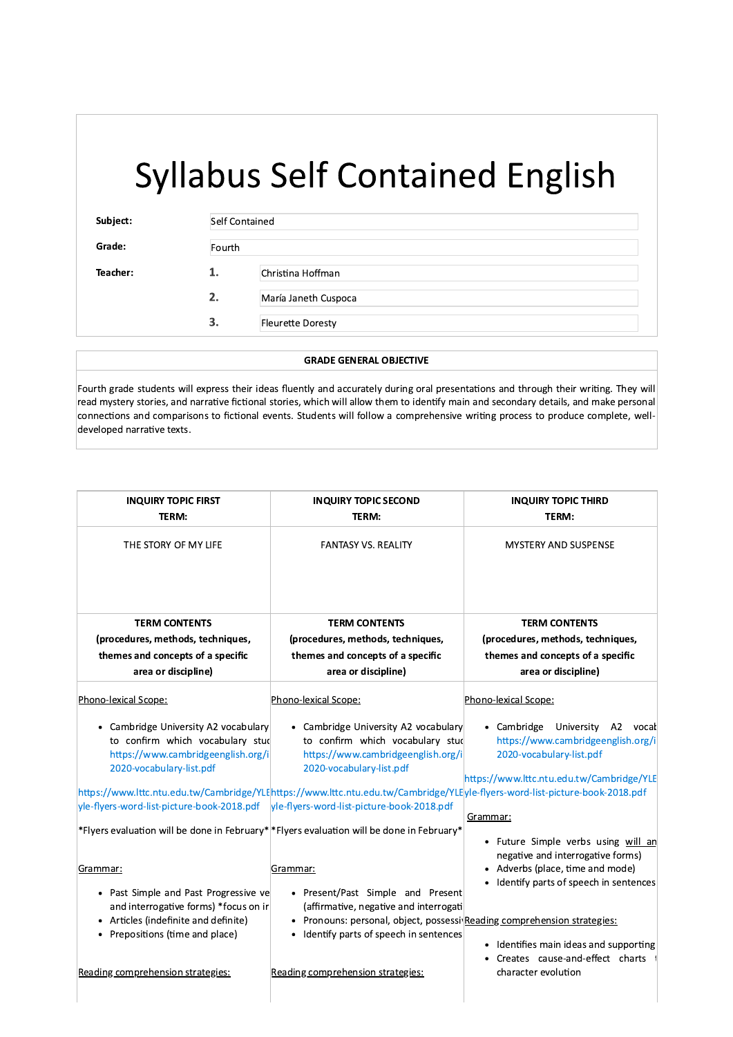$\overline{\phantom{a}}$ 

| Subject: | Self Contained |                          |
|----------|----------------|--------------------------|
| Grade:   | Fourth         |                          |
| Teacher: | 1.             | Christina Hoffman        |
|          | 2.             | María Janeth Cuspoca     |
|          | 3.             | <b>Fleurette Doresty</b> |

#### $\overline{\phantom{0}}$ **GRADE GENERAL OBJECTIVE**

Fourth grade students will express their ideas fluently and accurately during oral presentations and through their writing. They will read mystery stories, and narrative fictional stories, which will allow them to identify main and secondary details, and make personal connections and comparisons to fictional events. Students will follow a comprehensive writing process to produce complete, welldeveloped narrative texts.

| <b>INQUIRY TOPIC FIRST</b><br>TERM:                                                                                                                                                                                                                                                                                        | <b>INQUIRY TOPIC SECOND</b><br>TERM:                                                                                                                                                     | <b>INQUIRY TOPIC THIRD</b><br>TERM:                                                                                                                        |
|----------------------------------------------------------------------------------------------------------------------------------------------------------------------------------------------------------------------------------------------------------------------------------------------------------------------------|------------------------------------------------------------------------------------------------------------------------------------------------------------------------------------------|------------------------------------------------------------------------------------------------------------------------------------------------------------|
| THE STORY OF MY LIFE                                                                                                                                                                                                                                                                                                       | <b>FANTASY VS. REALITY</b>                                                                                                                                                               | <b>MYSTERY AND SUSPENSE</b>                                                                                                                                |
| <b>TERM CONTENTS</b><br>(procedures, methods, techniques,                                                                                                                                                                                                                                                                  | <b>TERM CONTENTS</b><br>(procedures, methods, techniques,                                                                                                                                | <b>TERM CONTENTS</b><br>(procedures, methods, techniques,                                                                                                  |
| themes and concepts of a specific                                                                                                                                                                                                                                                                                          | themes and concepts of a specific                                                                                                                                                        | themes and concepts of a specific                                                                                                                          |
| area or discipline)                                                                                                                                                                                                                                                                                                        | area or discipline)                                                                                                                                                                      | area or discipline)                                                                                                                                        |
| Phono-lexical Scope:                                                                                                                                                                                                                                                                                                       | Phono-lexical Scope:                                                                                                                                                                     | Phono-lexical Scope:                                                                                                                                       |
| • Cambridge University A2 vocabulary<br>to confirm which vocabulary stud<br>https://www.cambridgeenglish.org/i<br>2020-vocabulary-list.pdf<br>https://www.lttc.ntu.edu.tw/Cambridge/YLE https://www.lttc.ntu.edu.tw/Cambridge/YLE yle-flyers-word-list-picture-book-2018.pdf<br>yle-flyers-word-list-picture-book-2018.pdf | • Cambridge University A2 vocabulary<br>to confirm which vocabulary stud<br>https://www.cambridgeenglish.org/i<br>2020-vocabulary-list.pdf<br>yle-flyers-word-list-picture-book-2018.pdf | • Cambridge University A2 vocal<br>https://www.cambridgeenglish.org/i<br>2020-vocabulary-list.pdf<br>https://www.lttc.ntu.edu.tw/Cambridge/YLE<br>Grammar: |
| *Flyers evaluation will be done in February* *Flyers evaluation will be done in February*                                                                                                                                                                                                                                  |                                                                                                                                                                                          | • Future Simple verbs using will ar<br>negative and interrogative forms)                                                                                   |
| Grammar:<br>• Past Simple and Past Progressive ve<br>and interrogative forms) *focus on ir                                                                                                                                                                                                                                 | Grammar:<br>• Present/Past Simple and Present<br>(affirmative, negative and interrogati                                                                                                  | • Adverbs (place, time and mode)<br>• Identify parts of speech in sentences                                                                                |
| • Articles (indefinite and definite)<br>• Prepositions (time and place)                                                                                                                                                                                                                                                    | Pronouns: personal, object, possessi Reading comprehension strategies:<br>• Identify parts of speech in sentences                                                                        | • Identifies main ideas and supporting<br>• Creates cause-and-effect charts                                                                                |
| Reading comprehension strategies:                                                                                                                                                                                                                                                                                          | Reading comprehension strategies:                                                                                                                                                        | character evolution                                                                                                                                        |